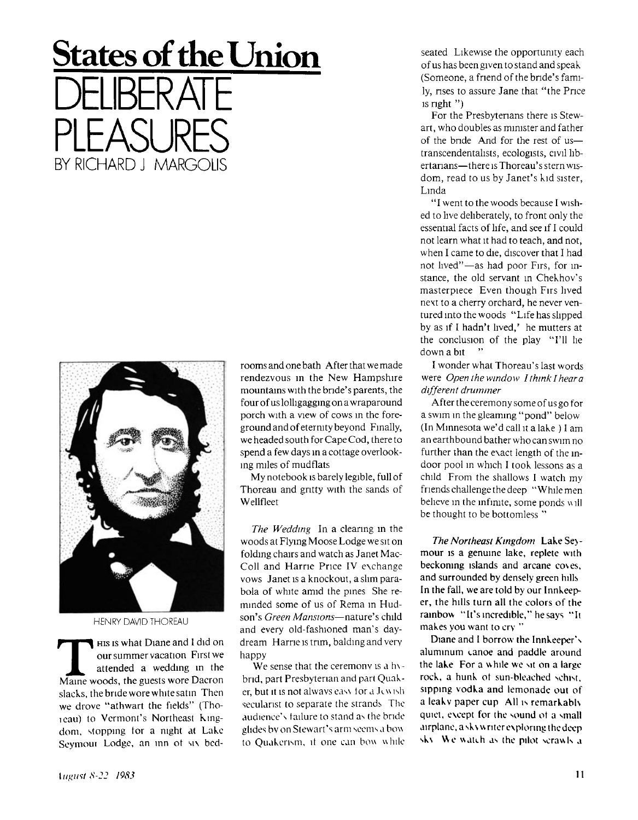## **States of the Union**  DELIBERATE PLEASURES BY RICHARD J MARGOLIS



HENRY DAVID THOREAU

**THE SET WARE SET WAS A UP AND SO SET AND SO SET A MAIN WAS A WARD WE MAKED WAS A WARD WAS A WARD WANT OF MAIN WAS A WARD WAS A WARD WAS A WARD WAS A WAS A WASHIM WAS A WASHIM WAS A WASHIM WAS A WASHIM WAS A WASHIM WAS A W** HIS is what Diane and I did on our summer vacation First we attended a wedding in the slacks, the bride wore white satin Then we drove "athwart the fields" (Thoicau) to Vermont's Northeast Kingdom, stopping tor a night at Lake Seymoui Lodge, an inn ot six bedrooms and one bath After that we made rendezvous in the New Hampshire mountains with the bride's parents, the four of us lolhgagging on a wraparound porch with a view of cows in the foreground and of eternity beyond Finally, we headed south for Cape Cod, there to spend a few days in a cottage overlooking miles of mudflats

My notebook is barely legible, full of Thoreau and gritty with the sands of Wellfleet

*The Wedding* In a clearing in the woods at Flying Moose Lodge we sit on folding chairs and watch as Janet Mac-Coll and Harrie Price IV exchange vows Janet is a knockout, a slim parabola of white amid the pines She reminded some of us of Rema in Hudson's *Green Mansions*—nature's child and every old-fashioned man's daydream Harne is trim, balding and very happy

We sense that the ceremony is a hybnd, part Presbyterian and part Quaker, but it is not always eas\ tor a Jew ish secularist to separate the strands The audience's failure to stand as the bride glides bv on Stewart's arm seems a bow to Quakerism, it one can bow while

seated Likewise the opportunity each of us has been given to stand and speak (Someone, a friend of the bride's family, rises to assure Jane that "the Price is right  $"$ )

For the Presbyterians there is Stewart, who doubles as minister and father of the bnde And for the rest of ustranscendentahsts, ecologists, civil libertarians—there is Thoreau's stern wisdom, read to us by Janet's kid sister, Linda

"I went to the woods because I wished to live deliberately, to front only the essential facts of life, and see if I could not learn what it had to teach, and not, when I came to die, discover that I had not lived"—as had poor Firs, for instance, the old servant in Chekhov's masterpiece Even though Firs lived next to a cherry orchard, he never ventured into the woods "Life has slipped by as if I hadn't lived,' he mutters at the conclusion of the play "I'll he down a bit "

I wonder what Thoreau's last words were *Open the window I think I hear a different drummer* 

After the ceremony some of us go for a swim in the gleaming "pond" below (In Minnesota we'd call it a lake ) I am an earthbound bather who can swim no further than the exact length of the indoor pool in which I took lessons as a child From the shallows I watch my friends challenge the deep "While men believe in the infinite, some ponds w ill be thought to be bottomless "

*The Northeast Kingdom* Lake Seymour is a genuine lake, replete with beckoning islands and arcane coves, and surrounded by densely green hills In the fall, we are told by our Innkeeper, the hills turn all the colors of the rainbow "It's incredible," he says "It makes you want to cry "

Diane and 1 borrow the Innkeeper's aluminum canoe and paddle around the lake For a while we sit on a large rock, a hunk ot sun-bleached schist, sipping vodka and lemonade out of a leakv paper cup All is remarkably quiet, except for the sound ot a small airplane, a sk\w nter exploring thedeep sk\ We watch as the pilot scrawls a